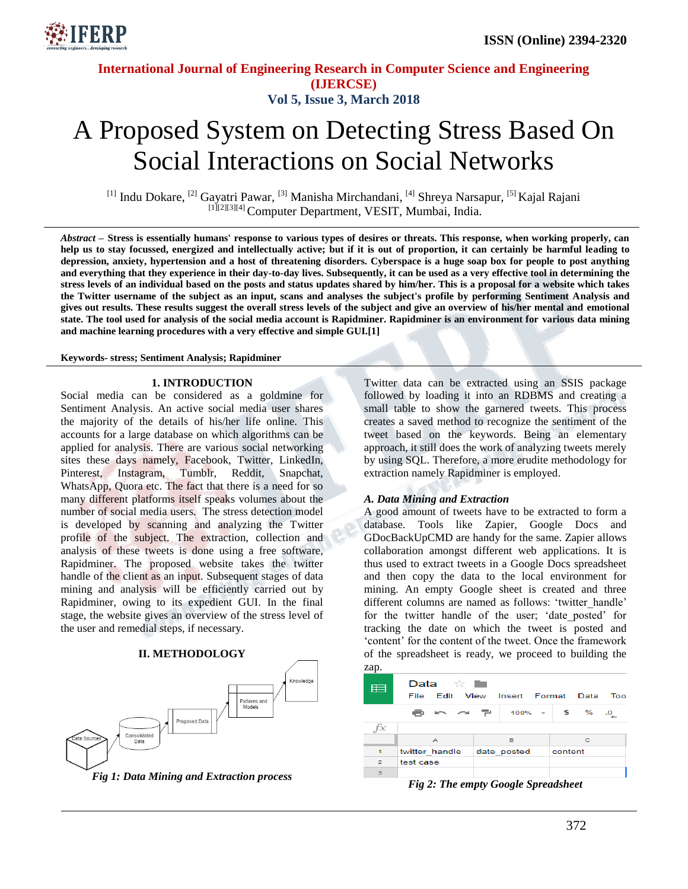

# **International Journal of Engineering Research in Computer Science and Engineering (IJERCSE) Vol 5, Issue 3, March 2018**

# A Proposed System on Detecting Stress Based On Social Interactions on Social Networks

<sup>[1]</sup> Indu Dokare, <sup>[2]</sup> Gayatri Pawar, <sup>[3]</sup> Manisha Mirchandani, <sup>[4]</sup> Shreya Narsapur, <sup>[5]</sup> Kajal Rajani [1][2][3][4] Computer Department, VESIT, Mumbai, India.

*Abstract –* **Stress is essentially humans' response to various types of desires or threats. This response, when working properly, can help us to stay focussed, energized and intellectually active; but if it is out of proportion, it can certainly be harmful leading to depression, anxiety, hypertension and a host of threatening disorders. Cyberspace is a huge soap box for people to post anything and everything that they experience in their day-to-day lives. Subsequently, it can be used as a very effective tool in determining the stress levels of an individual based on the posts and status updates shared by him/her. This is a proposal for a website which takes the Twitter username of the subject as an input, scans and analyses the subject's profile by performing Sentiment Analysis and gives out results. These results suggest the overall stress levels of the subject and give an overview of his/her mental and emotional state. The tool used for analysis of the social media account is Rapidminer. Rapidminer is an environment for various data mining and machine learning procedures with a very effective and simple GUI.[1]**

**Keywords- stress; Sentiment Analysis; Rapidminer**

#### **1. INTRODUCTION**

Social media can be considered as a goldmine for Sentiment Analysis. An active social media user shares the majority of the details of his/her life online. This accounts for a large database on which algorithms can be applied for analysis. There are various social networking sites these days namely, Facebook, Twitter, LinkedIn, Pinterest, Instagram, Tumblr, Reddit, Snapchat, WhatsApp, Quora etc. The fact that there is a need for so many different platforms itself speaks volumes about the number of social media users. The stress detection model is developed by scanning and analyzing the Twitter profile of the subject. The extraction, collection and analysis of these tweets is done using a free software, Rapidminer. The proposed website takes the twitter handle of the client as an input. Subsequent stages of data mining and analysis will be efficiently carried out by Rapidminer, owing to its expedient GUI. In the final stage, the website gives an overview of the stress level of the user and remedial steps, if necessary.





*Fig 1: Data Mining and Extraction process*

Twitter data can be extracted using an SSIS package followed by loading it into an RDBMS and creating a small table to show the garnered tweets. This process creates a saved method to recognize the sentiment of the tweet based on the keywords. Being an elementary approach, it still does the work of analyzing tweets merely by using SQL. Therefore, a more erudite methodology for extraction namely Rapidminer is employed.

#### *A. Data Mining and Extraction*

A good amount of tweets have to be extracted to form a database. Tools like Zapier, Google Docs and GDocBackUpCMD are handy for the same. Zapier allows collaboration amongst different web applications. It is thus used to extract tweets in a Google Docs spreadsheet and then copy the data to the local environment for mining. An empty Google sheet is created and three different columns are named as follows: 'twitter handle' for the twitter handle of the user; "date\_posted" for tracking the date on which the tweet is posted and 'content' for the content of the tweet. Once the framework of the spreadsheet is ready, we proceed to building the zap.

| ۰.<br>i |  |
|---------|--|
|         |  |
|         |  |
|         |  |

| ⊨              | Data $\mathbb{R}$<br>File | Edit View Insert Format Data         | Too     |
|----------------|---------------------------|--------------------------------------|---------|
|                |                           | ■ in ~ 〒   100% -   \$ % .0 <u>.</u> |         |
| fx             |                           |                                      |         |
|                | А                         | в                                    | c       |
| 1              | twitter handle            | date posted                          | content |
| $\overline{2}$ | test case                 |                                      |         |
| з              |                           |                                      |         |

*Fig 2: The empty Google Spreadsheet*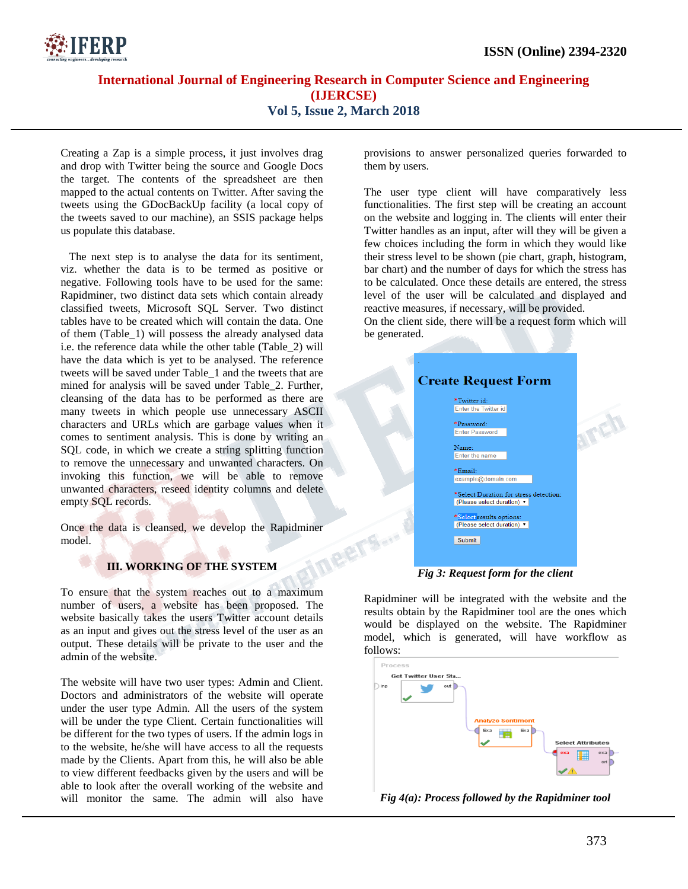

## **International Journal of Engineering Research in Computer Science and Engineering (IJERCSE) Vol 5, Issue 2, March 2018**

ERT

Creating a Zap is a simple process, it just involves drag and drop with Twitter being the source and Google Docs the target. The contents of the spreadsheet are then mapped to the actual contents on Twitter. After saving the tweets using the GDocBackUp facility (a local copy of the tweets saved to our machine), an SSIS package helps us populate this database.

 The next step is to analyse the data for its sentiment, viz. whether the data is to be termed as positive or negative. Following tools have to be used for the same: Rapidminer, two distinct data sets which contain already classified tweets, Microsoft SQL Server. Two distinct tables have to be created which will contain the data. One of them (Table\_1) will possess the already analysed data i.e. the reference data while the other table (Table\_2) will have the data which is yet to be analysed. The reference tweets will be saved under Table\_1 and the tweets that are mined for analysis will be saved under Table\_2. Further, cleansing of the data has to be performed as there are many tweets in which people use unnecessary ASCII characters and URLs which are garbage values when it comes to sentiment analysis. This is done by writing an SQL code, in which we create a string splitting function to remove the unnecessary and unwanted characters. On invoking this function, we will be able to remove unwanted characters, reseed identity columns and delete empty SQL records.

Once the data is cleansed, we develop the Rapidminer model.

## **III. WORKING OF THE SYSTEM**

To ensure that the system reaches out to a maximum number of users, a website has been proposed. The website basically takes the users Twitter account details as an input and gives out the stress level of the user as an output. These details will be private to the user and the admin of the website.

The website will have two user types: Admin and Client. Doctors and administrators of the website will operate under the user type Admin. All the users of the system will be under the type Client. Certain functionalities will be different for the two types of users. If the admin logs in to the website, he/she will have access to all the requests made by the Clients. Apart from this, he will also be able to view different feedbacks given by the users and will be able to look after the overall working of the website and will monitor the same. The admin will also have

provisions to answer personalized queries forwarded to them by users.

The user type client will have comparatively less functionalities. The first step will be creating an account on the website and logging in. The clients will enter their Twitter handles as an input, after will they will be given a few choices including the form in which they would like their stress level to be shown (pie chart, graph, histogram, bar chart) and the number of days for which the stress has to be calculated. Once these details are entered, the stress level of the user will be calculated and displayed and reactive measures, if necessary, will be provided.

On the client side, there will be a request form which will be generated.

| <b>Create Request Form</b>                                           |  |
|----------------------------------------------------------------------|--|
| *Twitter id:<br><b>Enter the Twitter id</b>                          |  |
| *Password:<br><b>Enter Password</b>                                  |  |
| Name:<br><b>Enter the name</b>                                       |  |
| *Email:<br>example@domain.com                                        |  |
| *Select Duration for stress detection:<br>(Please select duration) ▼ |  |
| *Select results options:<br>(Please select duration) ▼               |  |
| Submit                                                               |  |
|                                                                      |  |

*Fig 3: Request form for the client*

Rapidminer will be integrated with the website and the results obtain by the Rapidminer tool are the ones which would be displayed on the website. The Rapidminer model, which is generated, will have workflow as follows:



*Fig 4(a): Process followed by the Rapidminer tool*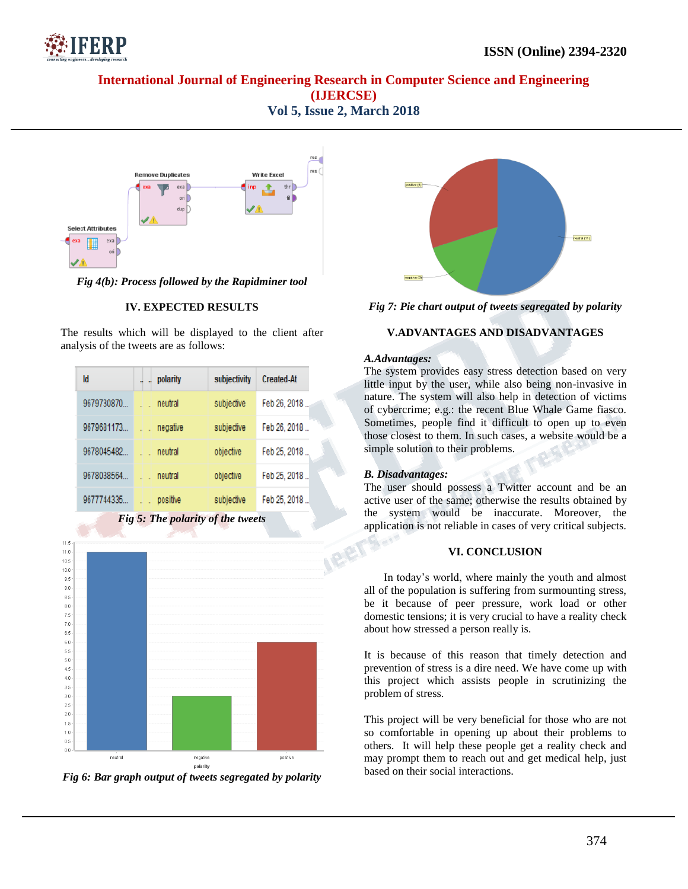

## **International Journal of Engineering Research in Computer Science and Engineering (IJERCSE) Vol 5, Issue 2, March 2018**



*Fig 4(b): Process followed by the Rapidminer tool*

#### **IV. EXPECTED RESULTS**

The results which will be displayed to the client after analysis of the tweets are as follows:

| Id                                | polarity | subjectivity | <b>Created-At</b> |  |  |
|-----------------------------------|----------|--------------|-------------------|--|--|
| 9679730870                        | neutral  | subjective   | Feb 26, 2018      |  |  |
| 9679681173                        | negative | subjective   | Feb 26, 2018      |  |  |
| 9678045482                        | neutral  | objective    | Feb 25, 2018      |  |  |
| 9678038564                        | neutral  | objective    | Feb 25, 2018      |  |  |
| 9677744335                        | positive | subjective   | Feb 25, 2018      |  |  |
| Fig 5: The polarity of the tweets |          |              |                   |  |  |



*Fig 6: Bar graph output of tweets segregated by polarity*



*Fig 7: Pie chart output of tweets segregated by polarity*

#### **V.ADVANTAGES AND DISADVANTAGES**

#### *A.Advantages:*

The system provides easy stress detection based on very little input by the user, while also being non-invasive in nature. The system will also help in detection of victims of cybercrime; e.g.: the recent Blue Whale Game fiasco. Sometimes, people find it difficult to open up to even those closest to them. In such cases, a website would be a simple solution to their problems.

#### *B. Disadvantages:*

-15

The user should possess a Twitter account and be an active user of the same; otherwise the results obtained by the system would be inaccurate. Moreover, the application is not reliable in cases of very critical subjects.

#### **VI. CONCLUSION**

 In today"s world, where mainly the youth and almost all of the population is suffering from surmounting stress, be it because of peer pressure, work load or other domestic tensions; it is very crucial to have a reality check about how stressed a person really is.

It is because of this reason that timely detection and prevention of stress is a dire need. We have come up with this project which assists people in scrutinizing the problem of stress.

This project will be very beneficial for those who are not so comfortable in opening up about their problems to others. It will help these people get a reality check and may prompt them to reach out and get medical help, just based on their social interactions.